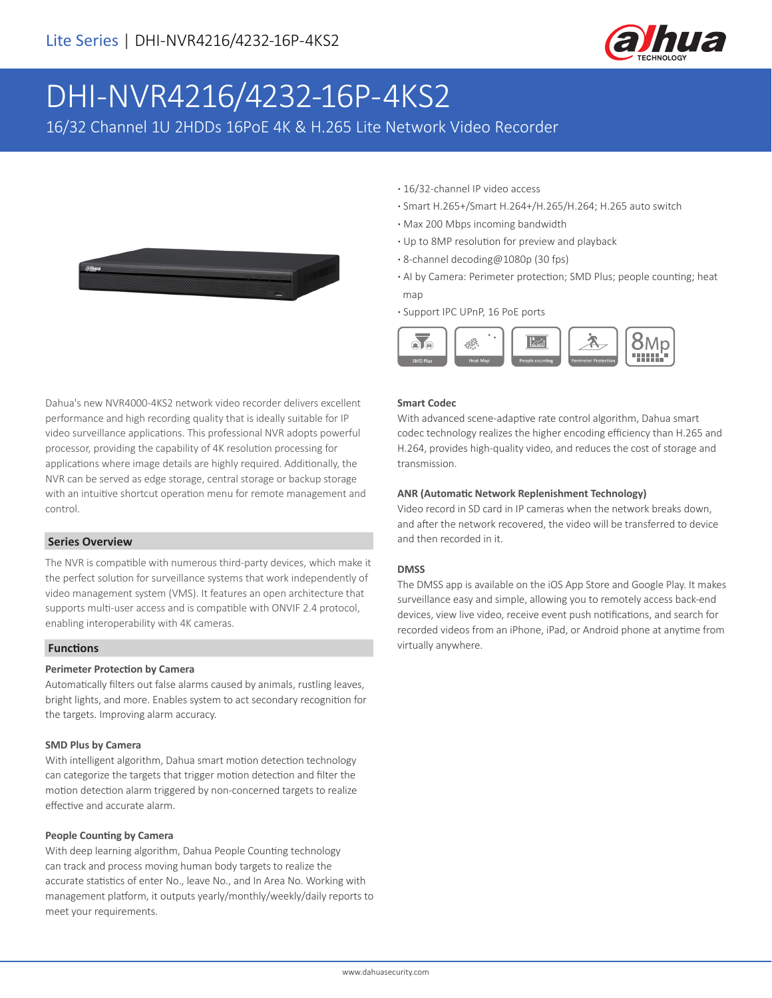

# DHI-NVR4216/4232-16P-4KS2

16/32 Channel 1U 2HDDs 16PoE 4K & H.265 Lite Network Video Recorder



Dahua's new NVR4000-4KS2 network video recorder delivers excellent performance and high recording quality that is ideally suitable for IP video surveillance applications. This professional NVR adopts powerful processor, providing the capability of 4K resolution processing for applications where image details are highly required. Additionally, the NVR can be served as edge storage, central storage or backup storage with an intuitive shortcut operation menu for remote management and control.

#### **Series Overview**

The NVR is compatible with numerous third-party devices, which make it the perfect solution for surveillance systems that work independently of video management system (VMS). It features an open architecture that supports multi-user access and is compatible with ONVIF 2.4 protocol, enabling interoperability with 4K cameras.

#### **Functions**

#### **Perimeter Protection by Camera**

Automatically filters out false alarms caused by animals, rustling leaves, bright lights, and more. Enables system to act secondary recognition for the targets. Improving alarm accuracy.

#### **SMD Plus by Camera**

With intelligent algorithm, Dahua smart motion detection technology can categorize the targets that trigger motion detection and filter the motion detection alarm triggered by non-concerned targets to realize effective and accurate alarm.

#### **People Counting by Camera**

With deep learning algorithm, Dahua People Counting technology can track and process moving human body targets to realize the accurate statistics of enter No., leave No., and In Area No. Working with management platform, it outputs yearly/monthly/weekly/daily reports to meet your requirements.

- **·** 16/32-channel IP video access
- **·** Smart H.265+/Smart H.264+/H.265/H.264; H.265 auto switch
- **·** Max 200 Mbps incoming bandwidth
- **·** Up to 8MP resolution for preview and playback
- **·** 8-channel decoding@1080p (30 fps)
- **·** AI by Camera: Perimeter protection; SMD Plus; people counting; heat map
- **·** Support IPC UPnP, 16 PoE ports



#### **Smart Codec**

With advanced scene-adaptive rate control algorithm, Dahua smart codec technology realizes the higher encoding efficiency than H.265 and H.264, provides high-quality video, and reduces the cost of storage and transmission.

#### **ANR (Automatic Network Replenishment Technology)**

Video record in SD card in IP cameras when the network breaks down, and after the network recovered, the video will be transferred to device and then recorded in it.

#### **DMSS**

The DMSS app is available on the iOS App Store and Google Play. It makes surveillance easy and simple, allowing you to remotely access back-end devices, view live video, receive event push notifications, and search for recorded videos from an iPhone, iPad, or Android phone at anytime from virtually anywhere.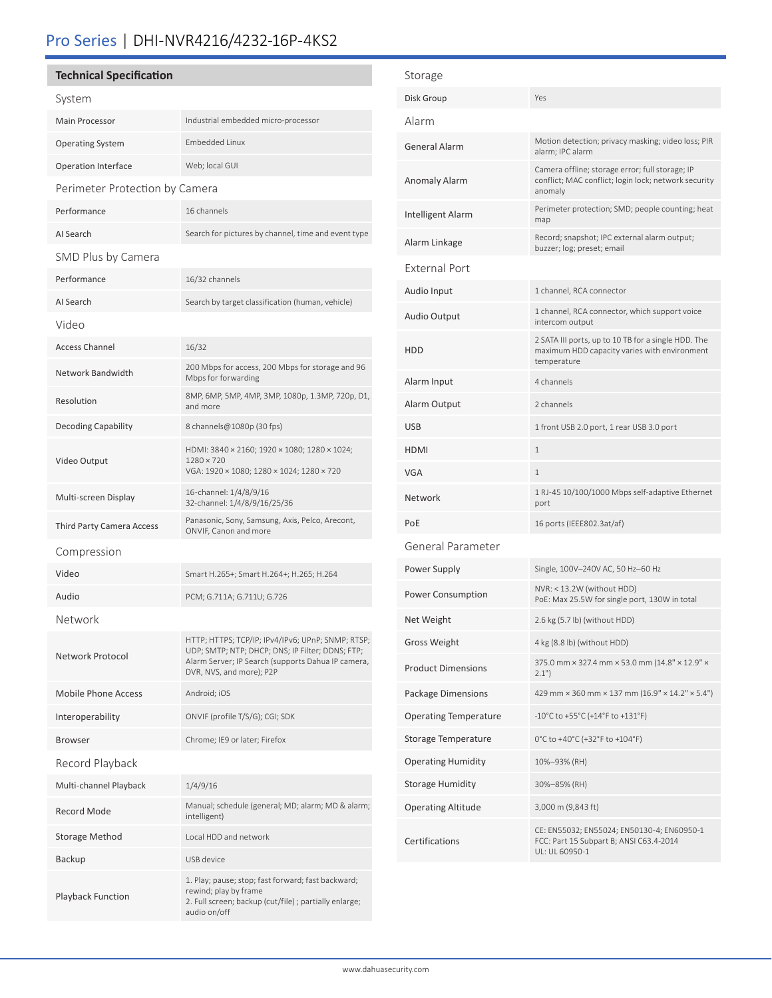## Pro Series | DHI-NVR4216/4232-16P-4KS2

## **Technical Specification**

| System                         |                                                                                                                                                                                         |  |
|--------------------------------|-----------------------------------------------------------------------------------------------------------------------------------------------------------------------------------------|--|
| <b>Main Processor</b>          | Industrial embedded micro-processor                                                                                                                                                     |  |
| <b>Operating System</b>        | <b>Embedded Linux</b>                                                                                                                                                                   |  |
| <b>Operation Interface</b>     | Web; local GUI                                                                                                                                                                          |  |
| Perimeter Protection by Camera |                                                                                                                                                                                         |  |
| Performance                    | 16 channels                                                                                                                                                                             |  |
| AI Search                      | Search for pictures by channel, time and event type                                                                                                                                     |  |
| SMD Plus by Camera             |                                                                                                                                                                                         |  |
| Performance                    | 16/32 channels                                                                                                                                                                          |  |
| AI Search                      | Search by target classification (human, vehicle)                                                                                                                                        |  |
| Video                          |                                                                                                                                                                                         |  |
| <b>Access Channel</b>          | 16/32                                                                                                                                                                                   |  |
| Network Bandwidth              | 200 Mbps for access, 200 Mbps for storage and 96<br>Mbps for forwarding                                                                                                                 |  |
| Resolution                     | 8MP, 6MP, 5MP, 4MP, 3MP, 1080p, 1.3MP, 720p, D1,<br>and more                                                                                                                            |  |
| <b>Decoding Capability</b>     | 8 channels@1080p (30 fps)                                                                                                                                                               |  |
| Video Output                   | HDMI: 3840 × 2160; 1920 × 1080; 1280 × 1024;<br>1280 × 720<br>VGA: 1920 × 1080; 1280 × 1024; 1280 × 720                                                                                 |  |
| Multi-screen Display           | 16-channel: 1/4/8/9/16<br>32-channel: 1/4/8/9/16/25/36                                                                                                                                  |  |
| Third Party Camera Access      | Panasonic, Sony, Samsung, Axis, Pelco, Arecont,<br>ONVIF, Canon and more                                                                                                                |  |
| Compression                    |                                                                                                                                                                                         |  |
| Video                          | Smart H.265+; Smart H.264+; H.265; H.264                                                                                                                                                |  |
| Audio                          | PCM; G.711A; G.711U; G.726                                                                                                                                                              |  |
| Network                        |                                                                                                                                                                                         |  |
| Network Protocol               | HTTP; HTTPS; TCP/IP; IPv4/IPv6; UPnP; SNMP; RTSP;<br>UDP; SMTP; NTP; DHCP; DNS; IP Filter; DDNS; FTP;<br>Alarm Server; IP Search (supports Dahua IP camera,<br>DVR, NVS, and more); P2P |  |
| <b>Mobile Phone Access</b>     | Android; iOS                                                                                                                                                                            |  |
| Interoperability               | ONVIF (profile T/S/G); CGI; SDK                                                                                                                                                         |  |
| <b>Browser</b>                 | Chrome; IE9 or later; Firefox                                                                                                                                                           |  |
| Record Playback                |                                                                                                                                                                                         |  |
| Multi-channel Playback         | 1/4/9/16                                                                                                                                                                                |  |
| Record Mode                    | Manual; schedule (general; MD; alarm; MD & alarm;<br>intelligent)                                                                                                                       |  |
| Storage Method                 | Local HDD and network                                                                                                                                                                   |  |
| <b>Backup</b>                  | USB device                                                                                                                                                                              |  |
| <b>Playback Function</b>       | 1. Play; pause; stop; fast forward; fast backward;<br>rewind; play by frame<br>2. Full screen; backup (cut/file) ; partially enlarge;<br>audio on/off                                   |  |

| Storage                      |                                                                                                                    |  |
|------------------------------|--------------------------------------------------------------------------------------------------------------------|--|
| Disk Group                   | Yes                                                                                                                |  |
| Alarm                        |                                                                                                                    |  |
| <b>General Alarm</b>         | Motion detection; privacy masking; video loss; PIR<br>alarm; IPC alarm                                             |  |
| <b>Anomaly Alarm</b>         | Camera offline; storage error; full storage; IP<br>conflict; MAC conflict; login lock; network security<br>anomaly |  |
| Intelligent Alarm            | Perimeter protection; SMD; people counting; heat<br>map                                                            |  |
| Alarm Linkage                | Record; snapshot; IPC external alarm output;<br>buzzer; log; preset; email                                         |  |
| <b>External Port</b>         |                                                                                                                    |  |
| Audio Input                  | 1 channel, RCA connector                                                                                           |  |
| <b>Audio Output</b>          | 1 channel, RCA connector, which support voice<br>intercom output                                                   |  |
| HDD                          | 2 SATA III ports, up to 10 TB for a single HDD. The<br>maximum HDD capacity varies with environment<br>temperature |  |
| Alarm Input                  | 4 channels                                                                                                         |  |
| Alarm Output                 | 2 channels                                                                                                         |  |
| <b>USB</b>                   | 1 front USB 2.0 port, 1 rear USB 3.0 port                                                                          |  |
| <b>HDMI</b>                  | $\mathbf{1}$                                                                                                       |  |
| <b>VGA</b>                   | $\mathbf{1}$                                                                                                       |  |
| Network                      | 1 RJ-45 10/100/1000 Mbps self-adaptive Ethernet<br>port                                                            |  |
| PoE                          | 16 ports (IEEE802.3at/af)                                                                                          |  |
| General Parameter            |                                                                                                                    |  |
| Power Supply                 | Single, 100V-240V AC, 50 Hz-60 Hz                                                                                  |  |
| Power Consumption            | NVR: < 13.2W (without HDD)<br>PoE: Max 25.5W for single port, 130W in total                                        |  |
| Net Weight                   | 2.6 kg (5.7 lb) (without HDD)                                                                                      |  |
| <b>Gross Weight</b>          | 4 kg (8.8 lb) (without HDD)                                                                                        |  |
| <b>Product Dimensions</b>    | 375.0 mm × 327.4 mm × 53.0 mm (14.8" × 12.9" ×<br>2.1"                                                             |  |
| Package Dimensions           | 429 mm × 360 mm × 137 mm (16.9" × 14.2" × 5.4")                                                                    |  |
| <b>Operating Temperature</b> | $-10^{\circ}$ C to $+55^{\circ}$ C ( $+14^{\circ}$ F to $+131^{\circ}$ F)                                          |  |
| Storage Temperature          | 0°C to +40°C (+32°F to +104°F)                                                                                     |  |
| <b>Operating Humidity</b>    | 10%-93% (RH)                                                                                                       |  |
| <b>Storage Humidity</b>      | 30%-85% (RH)                                                                                                       |  |
| <b>Operating Altitude</b>    | 3,000 m (9,843 ft)                                                                                                 |  |
| <b>Certifications</b>        | CE: EN55032; EN55024; EN50130-4; EN60950-1<br>FCC: Part 15 Subpart B; ANSI C63.4-2014<br>UL: UL 60950-1            |  |
|                              |                                                                                                                    |  |